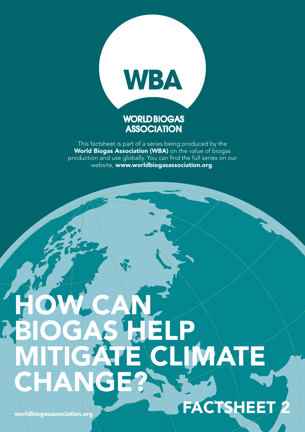

This factsheet is part of a series being produced by the World Biogas Association (WBA) on the value of biogas production and use globally. You can find the full series on our website, www.worldbiogasassociation.org.

# HOW CAN BIOGAS HELP MITIGATE CLIMATE CHAN **FACTSHEET**

worldbiogasassociation.org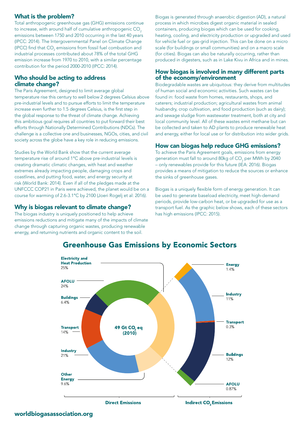# What is the problem?

Total anthropogenic greenhouse gas (GHG) emissions continue to increase, with around half of cumulative anthropogenic CO<sub>2</sub> emissions between 1750 and 2010 occurring in the last 40 years (IPCC: 2014). The Intergovernmental Panel on Climate Change (IPCC) find that  $\mathsf{CO}_2$  emissions from fossil fuel combustion and industrial processes contributed about 78% of the total GHG emission increase from 1970 to 2010, with a similar percentage contribution for the period 2000-2010 (IPCC: 2014).

## Who should be acting to address climate change?

The Paris Agreement, designed to limit average global temperature rise this century to well below 2 degrees Celsius above pre-industrial levels and to pursue efforts to limit the temperature increase even further to 1.5 degrees Celsius, is the first step in the global response to the threat of climate change. Achieving this ambitious goal requires all countries to put forward their best efforts through Nationally Determined Contributions (NDCs). The challenge is a collective one and businesses, NGOs, cities, and civil society across the globe have a key role in reducing emissions.

Studies by the World Bank show that the current average temperature rise of around 1°C above pre-industrial levels is creating dramatic climatic changes, with heat and weather extremes already impacting people, damaging crops and coastlines, and putting food, water, and energy security at risk (World Bank: 2014). Even if all of the pledges made at the UNFCCC COP21 in Paris were achieved, the planet would be on a course for warming of 2.6-3.1°C by 2100 (Joeri Rogelj et al: 2016).

# Why is biogas relevant to climate change?

The biogas industry is uniquely positioned to help achieve emissions reductions and mitigate many of the impacts of climate change through capturing organic wastes, producing renewable energy, and returning nutrients and organic content to the soil.

Biogas is generated through anaerobic digestion (AD), a natural process in which microbes digest organic material in sealed containers, producing biogas which can be used for cooking, heating, cooling, and electricity production or upgraded and used for vehicle fuel or gas-grid injection. This can be done on a micro scale (for buildings or small communities) and on a macro scale (for cities). Biogas can also be naturally occurring, rather than produced in digesters, such as in Lake Kivu in Africa and in mines.

## How biogas is involved in many different parts of the economy/environment

Biodegradable wastes are ubiquitous: they derive from multitudes of human social and economic activities. Such wastes can be found in: food waste from homes, restaurants, shops, and caterers; industrial production; agricultural wastes from animal husbandry, crop cultivation, and food production (such as dairy); and sewage sludge from wastewater treatment, both at city and local community level. All of these wastes emit methane but can be collected and taken to AD plants to produce renewable heat and energy, either for local use or for distribution into wider grids.

# How can biogas help reduce GHG emissions?

To achieve the Paris Agreement goals, emissions from energy generation must fall to around 80 $kg$  of CO $_{\rm 2}$  per MWh by 2040 – only renewables provide for this future (IEA: 2016). Biogas provides a means of mitigation to reduce the sources or enhance the sinks of greenhouse gases.

Biogas is a uniquely flexible form of energy generation. It can be used to generate baseload electricity, meet high-demand periods, provide low-carbon heat, or be upgraded for use as a transport fuel. As the graphic below shows, each of these sectors has high emissions (IPCC: 2015).



# **Greenhouse Gas Emissions by Economic Sectors**

worldbiogasassociation.org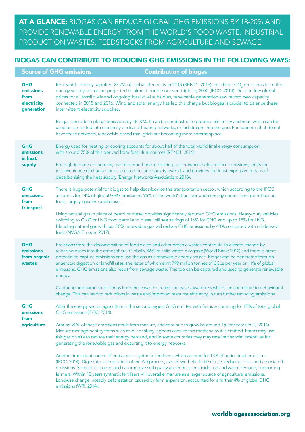At a glance: Biogas can reduce global GHG emissions by 18-20% and provide renewable energy from the world's food waste, industrial production wastes, feedstocks from agriculture and sewage.

# Biogas can contribute to reducing GHG emissions in the following ways:

|                                                              | <b>Source of GHG emissions</b><br><b>Contribution of biogas</b>                                                                                                                                                                                                                                                                                                                                                                                                                                                                                                                                                                                                                                                                                                                                                                                                                                                                                                                                                                                                                                                                                                                                         |
|--------------------------------------------------------------|---------------------------------------------------------------------------------------------------------------------------------------------------------------------------------------------------------------------------------------------------------------------------------------------------------------------------------------------------------------------------------------------------------------------------------------------------------------------------------------------------------------------------------------------------------------------------------------------------------------------------------------------------------------------------------------------------------------------------------------------------------------------------------------------------------------------------------------------------------------------------------------------------------------------------------------------------------------------------------------------------------------------------------------------------------------------------------------------------------------------------------------------------------------------------------------------------------|
| <b>GHG</b><br>emissions<br>from<br>electricity<br>generation | Renewable energy supplied 23.7% of global electricity in 2016 (REN21: 2016). Yet direct CO <sub>2</sub> emissions from the<br>energy supply sector are projected to almost double or even triple by 2050 (IPCC: 2014). Despite low global<br>prices for all fossil fuels and ongoing fossil-fuel subsidies, renewable generation saw record new capacity<br>connected in 2015 and 2016. Wind and solar energy has led this charge but biogas is crucial to balance these<br>intermittent electricity supplies.                                                                                                                                                                                                                                                                                                                                                                                                                                                                                                                                                                                                                                                                                          |
|                                                              | Biogas can reduce global emissions by 18-20%. It can be combusted to produce electricity and heat, which can be<br>used on site or fed into electricity or district heating networks, or fed straight into the grid. For countries that do not<br>have these networks, renewable-based mini-grids are becoming more commonplace.                                                                                                                                                                                                                                                                                                                                                                                                                                                                                                                                                                                                                                                                                                                                                                                                                                                                        |
| <b>GHG</b><br>emissions<br>in heat<br>supply                 | Energy used for heating or cooling accounts for about half of the total world final energy consumption,<br>with around 75% of this derived from fossil-fuel sources (REN21: 2016).<br>For high-income economies, use of biomethane in existing gas networks helps reduce emissions, limits the<br>inconvenience of change for gas customers and society overall, and provides the least expensive means of<br>decarbonising the heat supply (Energy Networks Association: 2016).                                                                                                                                                                                                                                                                                                                                                                                                                                                                                                                                                                                                                                                                                                                        |
| <b>GHG</b><br>emissions<br>from<br>transport                 | There is huge potential for biogas to help decarbonise the transportation sector, which according to the IPCC<br>accounts for 14% of global GHG emissions. 95% of the world's transportation energy comes from petrol-based<br>fuels, largely gasoline and diesel.<br>Using natural gas in place of petrol or diesel provides significantly reduced GHG emissions. Heavy-duty vehicles<br>switching to CNG or LNG from petrol and diesel will see savings of 16% for CNG and up to 15% for LNG.<br>Blending natural gas with just 20% renewable gas will reduce GHG emissions by 40% compared with oil-derived<br>fuels (NVGA Europe: 2017).                                                                                                                                                                                                                                                                                                                                                                                                                                                                                                                                                            |
| <b>GHG</b><br>emissions<br>from organic<br>wastes            | Emissions from the decomposition of food waste and other organic wastes contribute to climate change by<br>releasing gases into the atmosphere. Globally, 46% of solid waste is organic (World Bank: 2012) and there is great<br>potential to capture emissions and use the gas as a renewable energy source. Biogas can be generated through<br>anaerobic digestion or landfill sites, the latter of which emit 799 million tonnes of CO <sub>2</sub> e per year or 11% of global<br>emissions. GHG emissions also result from sewage waste. This too can be captured and used to generate renewable<br>energy.<br>Capturing and harnessing biogas from these waste streams increases awareness which can contribute to behavioural<br>change. This can lead to reductions in waste and improved resource efficiency, in turn further reducing emissions.                                                                                                                                                                                                                                                                                                                                              |
| <b>GHG</b><br>emissions<br>from<br>agriculture               | After the energy sector, agriculture is the second largest GHG emitter, with farms accounting for 12% of total global<br>GHG emissions (IPCC: 2014).<br>Around 20% of these emissions result from manure, and continue to grow by around 1% per year (IPCC: 2014).<br>Manure management systems such as AD or slurry lagoons capture this methane as it is emitted. Farms may use<br>this gas on site to reduce their energy demand, and in some countries they may receive financial incentives for<br>generating the renewable gas and exporting it to energy networks.<br>Another important source of emissions is synthetic fertilisers, which account for 13% of agricultural emissions<br>(IPCC: 2014). Digestate, a co-product of the AD process, avoids synthetic fertiliser use, reducing costs and associated<br>emissions. Spreading it onto land can improve soil quality and reduce pesticide use and water demand, supporting<br>farmers. Within 10 years synthetic fertilisers will overtake manure as a larger source of agricultural emissions.<br>Land-use change, notably deforestation caused by farm expansion, accounted for a further 4% of global GHG<br>emissions (WRI: 2014). |